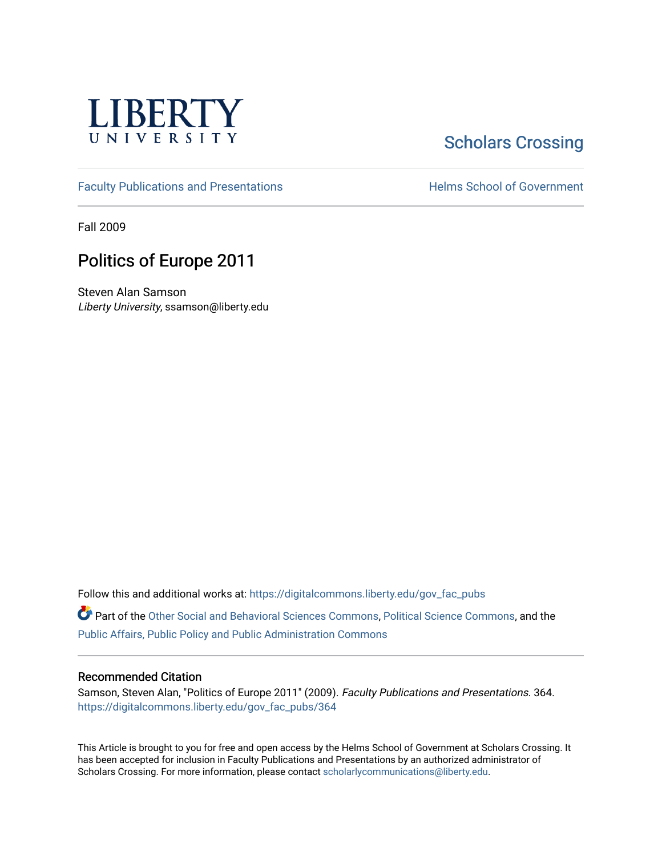

# **Scholars Crossing**

[Faculty Publications and Presentations](https://digitalcommons.liberty.edu/gov_fac_pubs) **Exercise School of Government** 

Fall 2009

# Politics of Europe 2011

Steven Alan Samson Liberty University, ssamson@liberty.edu

Follow this and additional works at: [https://digitalcommons.liberty.edu/gov\\_fac\\_pubs](https://digitalcommons.liberty.edu/gov_fac_pubs?utm_source=digitalcommons.liberty.edu%2Fgov_fac_pubs%2F364&utm_medium=PDF&utm_campaign=PDFCoverPages)

Part of the [Other Social and Behavioral Sciences Commons](http://network.bepress.com/hgg/discipline/437?utm_source=digitalcommons.liberty.edu%2Fgov_fac_pubs%2F364&utm_medium=PDF&utm_campaign=PDFCoverPages), [Political Science Commons](http://network.bepress.com/hgg/discipline/386?utm_source=digitalcommons.liberty.edu%2Fgov_fac_pubs%2F364&utm_medium=PDF&utm_campaign=PDFCoverPages), and the [Public Affairs, Public Policy and Public Administration Commons](http://network.bepress.com/hgg/discipline/393?utm_source=digitalcommons.liberty.edu%2Fgov_fac_pubs%2F364&utm_medium=PDF&utm_campaign=PDFCoverPages)

# Recommended Citation

Samson, Steven Alan, "Politics of Europe 2011" (2009). Faculty Publications and Presentations. 364. [https://digitalcommons.liberty.edu/gov\\_fac\\_pubs/364](https://digitalcommons.liberty.edu/gov_fac_pubs/364?utm_source=digitalcommons.liberty.edu%2Fgov_fac_pubs%2F364&utm_medium=PDF&utm_campaign=PDFCoverPages)

This Article is brought to you for free and open access by the Helms School of Government at Scholars Crossing. It has been accepted for inclusion in Faculty Publications and Presentations by an authorized administrator of Scholars Crossing. For more information, please contact [scholarlycommunications@liberty.edu.](mailto:scholarlycommunications@liberty.edu)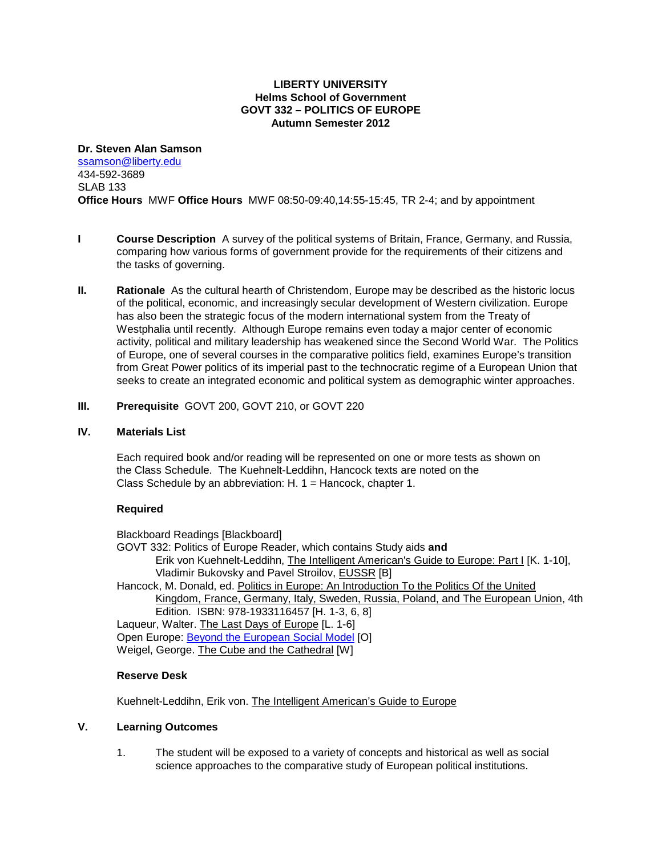# **LIBERTY UNIVERSITY Helms School of Government GOVT 332 – POLITICS OF EUROPE Autumn Semester 2012**

#### **Dr. Steven Alan Samson**

[ssamson@liberty.edu](mailto:ssamson@liberty.edu) 434-592-3689 SLAB 133 **Office Hours** MWF **Office Hours** MWF 08:50-09:40,14:55-15:45, TR 2-4; and by appointment

- **I Course Description** A survey of the political systems of Britain, France, Germany, and Russia, comparing how various forms of government provide for the requirements of their citizens and the tasks of governing.
- **II. Rationale** As the cultural hearth of Christendom, Europe may be described as the historic locus of the political, economic, and increasingly secular development of Western civilization. Europe has also been the strategic focus of the modern international system from the Treaty of Westphalia until recently. Although Europe remains even today a major center of economic activity, political and military leadership has weakened since the Second World War. The Politics of Europe, one of several courses in the comparative politics field, examines Europe's transition from Great Power politics of its imperial past to the technocratic regime of a European Union that seeks to create an integrated economic and political system as demographic winter approaches.
- **III. Prerequisite** GOVT 200, GOVT 210, or GOVT 220

# **IV. Materials List**

Each required book and/or reading will be represented on one or more tests as shown on the Class Schedule. The Kuehnelt-Leddihn, Hancock texts are noted on the Class Schedule by an abbreviation: H. 1 = Hancock, chapter 1.

# **Required**

Blackboard Readings [Blackboard] GOVT 332: Politics of Europe Reader, which contains Study aids **and** Erik von Kuehnelt-Leddihn, The Intelligent American's Guide to Europe: Part I [K. 1-10], Vladimir Bukovsky and Pavel Stroilov, EUSSR [B] Hancock, M. Donald, ed. Politics in Europe: An Introduction To the Politics Of the United Kingdom, France, Germany, Italy, Sweden, Russia, Poland, and The European Union, 4th Edition. ISBN: 978-1933116457 [H. 1-3, 6, 8] Laqueur, Walter. The Last Days of Europe [L. 1-6] Open Europe: [Beyond the European Social Model](http://www.openeurope.org.uk/research/fullbook.pdf) [O] Weigel, George. The Cube and the Cathedral [W]

# **Reserve Desk**

Kuehnelt-Leddihn, Erik von. The Intelligent American's Guide to Europe

# **V. Learning Outcomes**

1. The student will be exposed to a variety of concepts and historical as well as social science approaches to the comparative study of European political institutions.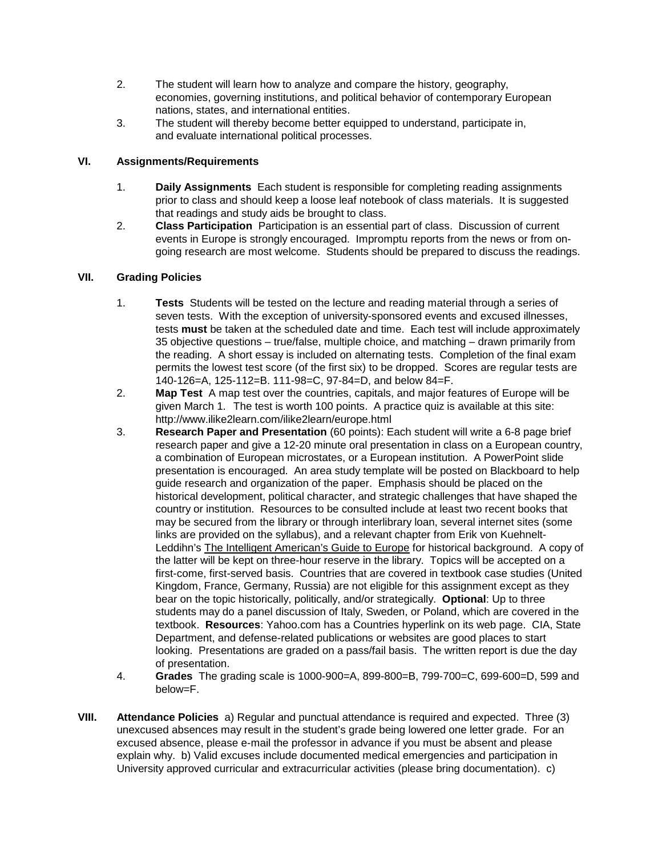- 2. The student will learn how to analyze and compare the history, geography, economies, governing institutions, and political behavior of contemporary European nations, states, and international entities.
- 3. The student will thereby become better equipped to understand, participate in, and evaluate international political processes.

# **VI. Assignments/Requirements**

- 1. **Daily Assignments** Each student is responsible for completing reading assignments prior to class and should keep a loose leaf notebook of class materials. It is suggested that readings and study aids be brought to class.
- 2. **Class Participation** Participation is an essential part of class. Discussion of current events in Europe is strongly encouraged. Impromptu reports from the news or from ongoing research are most welcome. Students should be prepared to discuss the readings.

# **VII. Grading Policies**

- 1. **Tests** Students will be tested on the lecture and reading material through a series of seven tests. With the exception of university-sponsored events and excused illnesses, tests **must** be taken at the scheduled date and time. Each test will include approximately 35 objective questions – true/false, multiple choice, and matching – drawn primarily from the reading. A short essay is included on alternating tests. Completion of the final exam permits the lowest test score (of the first six) to be dropped. Scores are regular tests are 140-126=A, 125-112=B. 111-98=C, 97-84=D, and below 84=F.
- 2. **Map Test** A map test over the countries, capitals, and major features of Europe will be given March 1. The test is worth 100 points. A practice quiz is available at this site: <http://www.ilike2learn.com/ilike2learn/europe.html>
- 3. **Research Paper and Presentation** (60 points): Each student will write a 6-8 page brief research paper and give a 12-20 minute oral presentation in class on a European country, a combination of European microstates, or a European institution. A PowerPoint slide presentation is encouraged. An area study template will be posted on Blackboard to help guide research and organization of the paper. Emphasis should be placed on the historical development, political character, and strategic challenges that have shaped the country or institution. Resources to be consulted include at least two recent books that may be secured from the library or through interlibrary loan, several internet sites (some links are provided on the syllabus), and a relevant chapter from Erik von Kuehnelt-Leddihn's The Intelligent American's Guide to Europe for historical background. A copy of the latter will be kept on three-hour reserve in the library. Topics will be accepted on a first-come, first-served basis. Countries that are covered in textbook case studies (United Kingdom, France, Germany, Russia) are not eligible for this assignment except as they bear on the topic historically, politically, and/or strategically. **Optional**: Up to three students may do a panel discussion of Italy, Sweden, or Poland, which are covered in the textbook. **Resources**: Yahoo.com has a Countries hyperlink on its web page. CIA, State Department, and defense-related publications or websites are good places to start looking. Presentations are graded on a pass/fail basis. The written report is due the day of presentation.
- 4. **Grades** The grading scale is 1000-900=A, 899-800=B, 799-700=C, 699-600=D, 599 and below=F.
- **VIII. Attendance Policies** a) Regular and punctual attendance is required and expected. Three (3) unexcused absences may result in the student's grade being lowered one letter grade. For an excused absence, please e-mail the professor in advance if you must be absent and please explain why. b) Valid excuses include documented medical emergencies and participation in University approved curricular and extracurricular activities (please bring documentation). c)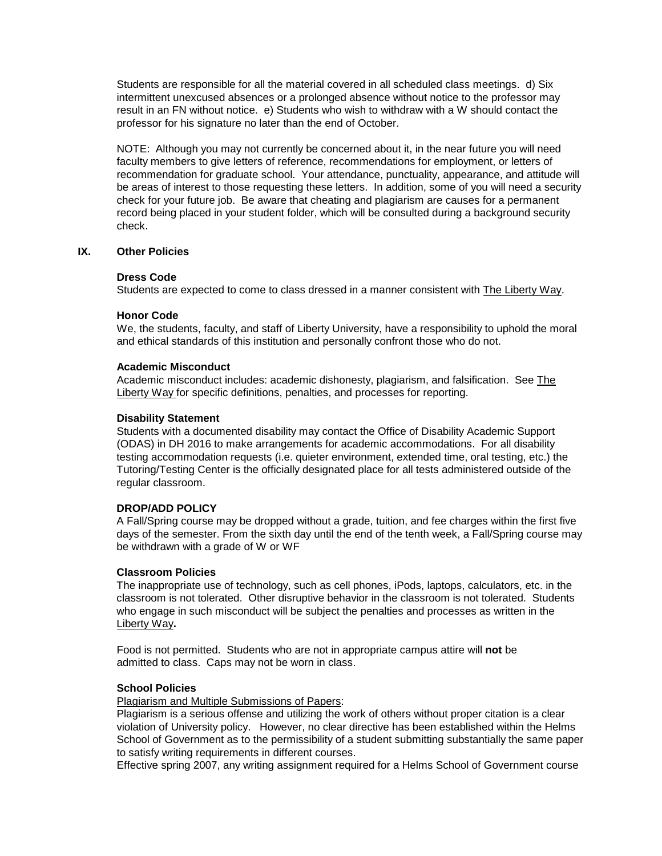Students are responsible for all the material covered in all scheduled class meetings. d) Six intermittent unexcused absences or a prolonged absence without notice to the professor may result in an FN without notice. e) Students who wish to withdraw with a W should contact the professor for his signature no later than the end of October.

NOTE: Although you may not currently be concerned about it, in the near future you will need faculty members to give letters of reference, recommendations for employment, or letters of recommendation for graduate school. Your attendance, punctuality, appearance, and attitude will be areas of interest to those requesting these letters. In addition, some of you will need a security check for your future job. Be aware that cheating and plagiarism are causes for a permanent record being placed in your student folder, which will be consulted during a background security check.

#### **IX. Other Policies**

#### **Dress Code**

Students are expected to come to class dressed in a manner consistent with The Liberty Way.

#### **Honor Code**

We, the students, faculty, and staff of Liberty University, have a responsibility to uphold the moral and ethical standards of this institution and personally confront those who do not.

#### **Academic Misconduct**

Academic misconduct includes: academic dishonesty, plagiarism, and falsification. See The Liberty Way for specific definitions, penalties, and processes for reporting.

#### **Disability Statement**

Students with a documented disability may contact the Office of Disability Academic Support (ODAS) in DH 2016 to make arrangements for academic accommodations. For all disability testing accommodation requests (i.e. quieter environment, extended time, oral testing, etc.) the Tutoring/Testing Center is the officially designated place for all tests administered outside of the regular classroom.

#### **DROP/ADD POLICY**

A Fall/Spring course may be dropped without a grade, tuition, and fee charges within the first five days of the semester. From the sixth day until the end of the tenth week, a Fall/Spring course may be withdrawn with a grade of W or WF

#### **Classroom Policies**

The inappropriate use of technology, such as cell phones, iPods, laptops, calculators, etc. in the classroom is not tolerated. Other disruptive behavior in the classroom is not tolerated. Students who engage in such misconduct will be subject the penalties and processes as written in the Liberty Way**.**

Food is not permitted. Students who are not in appropriate campus attire will **not** be admitted to class. Caps may not be worn in class.

#### **School Policies**

Plagiarism and Multiple Submissions of Papers:

Plagiarism is a serious offense and utilizing the work of others without proper citation is a clear violation of University policy. However, no clear directive has been established within the Helms School of Government as to the permissibility of a student submitting substantially the same paper to satisfy writing requirements in different courses.

Effective spring 2007, any writing assignment required for a Helms School of Government course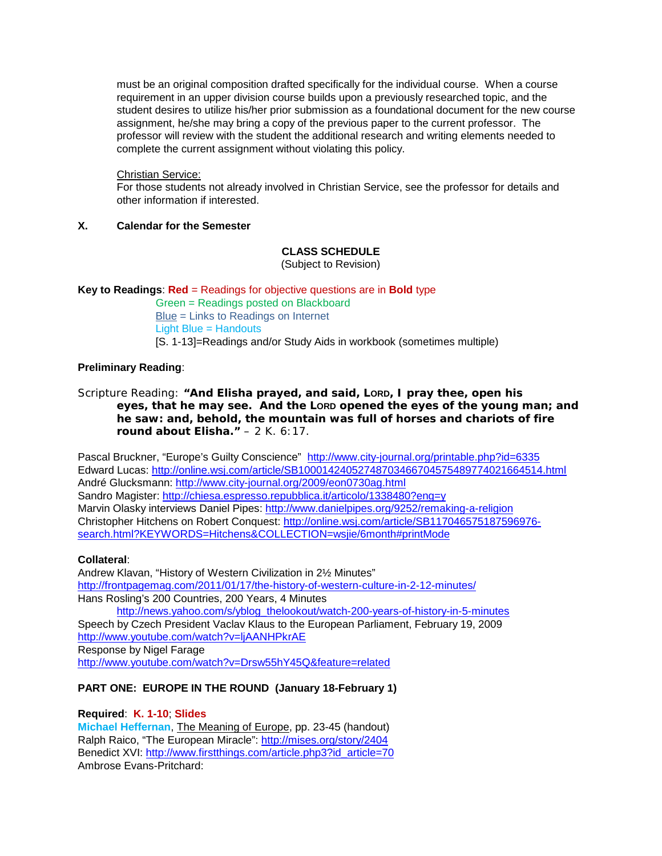must be an original composition drafted specifically for the individual course. When a course requirement in an upper division course builds upon a previously researched topic, and the student desires to utilize his/her prior submission as a foundational document for the new course assignment, he/she may bring a copy of the previous paper to the current professor. The professor will review with the student the additional research and writing elements needed to complete the current assignment without violating this policy.

#### Christian Service:

For those students not already involved in Christian Service, see the professor for details and other information if interested.

# **X. Calendar for the Semester**

# **CLASS SCHEDULE**

(Subject to Revision)

# **Key to Readings**: **Red** = Readings for objective questions are in **Bold** type

Green = Readings posted on Blackboard Blue = Links to Readings on Internet Light Blue = Handouts [S. 1-13]=Readings and/or Study Aids in workbook (sometimes multiple)

#### **Preliminary Reading**:

Scripture Reading: **"And Elisha prayed, and said, LORD, I pray thee, open his eyes, that he may see. And the LORD opened the eyes of the young man; and he saw: and, behold, the mountain** *was* **full of horses and chariots of fire round about Elisha."** – 2 K. 6:17.

Pascal Bruckner, "Europe's Guilty Conscience" <http://www.city-journal.org/printable.php?id=6335> Edward Lucas:<http://online.wsj.com/article/SB10001424052748703466704575489774021664514.html> André Glucksmann:<http://www.city-journal.org/2009/eon0730ag.html> Sandro Magister:<http://chiesa.espresso.repubblica.it/articolo/1338480?eng=y> Marvin Olasky interviews Daniel Pipes:<http://www.danielpipes.org/9252/remaking-a-religion> Christopher Hitchens on Robert Conquest: [http://online.wsj.com/article/SB117046575187596976](http://online.wsj.com/article/SB117046575187596976-search.html?KEYWORDS=Hitchens&COLLECTION=wsjie/6month#printMode) [search.html?KEYWORDS=Hitchens&COLLECTION=wsjie/6month#printMode](http://online.wsj.com/article/SB117046575187596976-search.html?KEYWORDS=Hitchens&COLLECTION=wsjie/6month#printMode)

#### **Collateral**:

Andrew Klavan, "History of Western Civilization in 2½ Minutes" <http://frontpagemag.com/2011/01/17/the-history-of-western-culture-in-2-12-minutes/> Hans Rosling's 200 Countries, 200 Years, 4 Minutes [http://news.yahoo.com/s/yblog\\_thelookout/watch-200-years-of-history-in-5-minutes](http://news.yahoo.com/s/yblog_thelookout/watch-200-years-of-history-in-5-minutes) Speech by Czech President Vaclav Klaus to the European Parliament, February 19, 2009 <http://www.youtube.com/watch?v=ljAANHPkrAE> Response by Nigel Farage <http://www.youtube.com/watch?v=Drsw55hY45Q&feature=related>

### **PART ONE: EUROPE IN THE ROUND (January 18-February 1)**

#### **Required**: **K. 1-10**; **Slides**

**Michael Heffernan**, The Meaning of Europe, pp. 23-45 (handout) Ralph Raico, "The European Miracle":<http://mises.org/story/2404> Benedict XVI: [http://www.firstthings.com/article.php3?id\\_article=70](http://www.firstthings.com/article.php3?id_article=70) Ambrose Evans-Pritchard: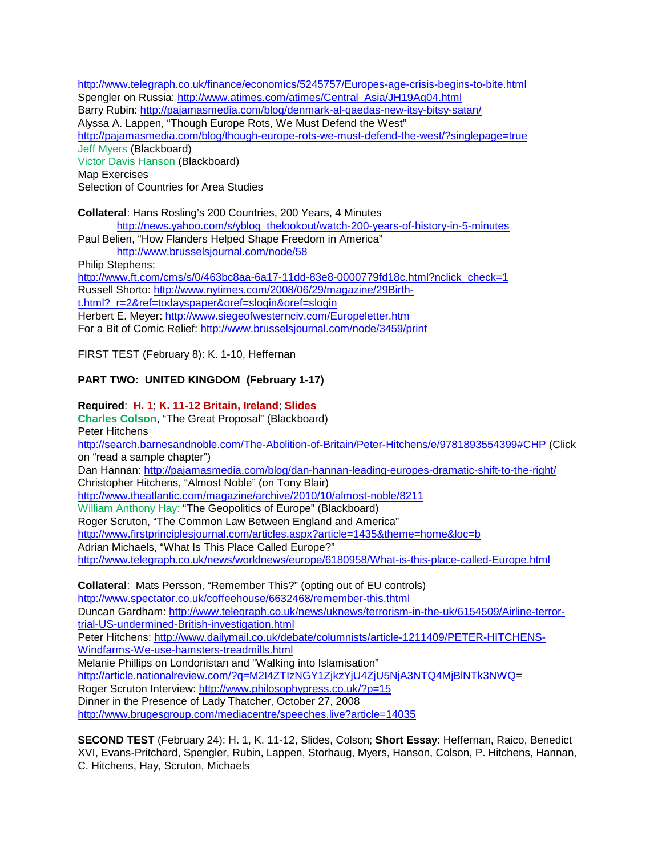<http://www.telegraph.co.uk/finance/economics/5245757/Europes-age-crisis-begins-to-bite.html> Spengler on Russia: [http://www.atimes.com/atimes/Central\\_Asia/JH19Ag04.html](http://www.atimes.com/atimes/Central_Asia/JH19Ag04.html) Barry Rubin:<http://pajamasmedia.com/blog/denmark-al-qaedas-new-itsy-bitsy-satan/> Alyssa A. Lappen, "Though Europe Rots, We Must Defend the West" <http://pajamasmedia.com/blog/though-europe-rots-we-must-defend-the-west/?singlepage=true> Jeff Myers (Blackboard) Victor Davis Hanson (Blackboard) Map Exercises Selection of Countries for Area Studies

**Collateral**: Hans Rosling's 200 Countries, 200 Years, 4 Minutes

[http://news.yahoo.com/s/yblog\\_thelookout/watch-200-years-of-history-in-5-minutes](http://news.yahoo.com/s/yblog_thelookout/watch-200-years-of-history-in-5-minutes)

Paul Belien, "How Flanders Helped Shape Freedom in America"

<http://www.brusselsjournal.com/node/58>

Philip Stephens:

[http://www.ft.com/cms/s/0/463bc8aa-6a17-11dd-83e8-0000779fd18c.html?nclick\\_check=1](http://www.ft.com/cms/s/0/463bc8aa-6a17-11dd-83e8-0000779fd18c.html?nclick_check=1) Russell Shorto: [http://www.nytimes.com/2008/06/29/magazine/29Birth](http://www.nytimes.com/2008/06/29/magazine/29Birth-t.html?_r=2&ref=todayspaper&oref=slogin&oref=slogin)t.html? r=2&ref=todayspaper&oref=slogin&oref=slogin Herbert E. Meyer:<http://www.siegeofwesternciv.com/Europeletter.htm> For a Bit of Comic Relief:<http://www.brusselsjournal.com/node/3459/print>

FIRST TEST (February 8): K. 1-10, Heffernan

# **PART TWO: UNITED KINGDOM (February 1-17)**

**Required**: **H. 1**; **K. 11-12 Britain, Ireland**; **Slides Charles Colson**, "The Great Proposal" (Blackboard) Peter Hitchens <http://search.barnesandnoble.com/The-Abolition-of-Britain/Peter-Hitchens/e/9781893554399#CHP> (Click on "read a sample chapter") Dan Hannan:<http://pajamasmedia.com/blog/dan-hannan-leading-europes-dramatic-shift-to-the-right/> Christopher Hitchens, "Almost Noble" (on Tony Blair) <http://www.theatlantic.com/magazine/archive/2010/10/almost-noble/8211> William Anthony Hay: "The Geopolitics of Europe" (Blackboard) Roger Scruton, "The Common Law Between England and America" <http://www.firstprinciplesjournal.com/articles.aspx?article=1435&theme=home&loc=b> Adrian Michaels, "What Is This Place Called Europe?" <http://www.telegraph.co.uk/news/worldnews/europe/6180958/What-is-this-place-called-Europe.html> **Collateral**: Mats Persson, "Remember This?" (opting out of EU controls) <http://www.spectator.co.uk/coffeehouse/6632468/remember-this.thtml> Duncan Gardham: [http://www.telegraph.co.uk/news/uknews/terrorism-in-the-uk/6154509/Airline-terror](http://www.telegraph.co.uk/news/uknews/terrorism-in-the-uk/6154509/Airline-terror-trial-US-undermined-British-investigation.html)[trial-US-undermined-British-investigation.html](http://www.telegraph.co.uk/news/uknews/terrorism-in-the-uk/6154509/Airline-terror-trial-US-undermined-British-investigation.html) Peter Hitchens: [http://www.dailymail.co.uk/debate/columnists/article-1211409/PETER-HITCHENS-](http://www.dailymail.co.uk/debate/columnists/article-1211409/PETER-HITCHENS-Windfarms-We-use-hamsters-treadmills.html)[Windfarms-We-use-hamsters-treadmills.html](http://www.dailymail.co.uk/debate/columnists/article-1211409/PETER-HITCHENS-Windfarms-We-use-hamsters-treadmills.html) Melanie Phillips on Londonistan and "Walking into Islamisation" [http://article.nationalreview.com/?q=M2I4ZTIzNGY1ZjkzYjU4ZjU5NjA3NTQ4MjBlNTk3NWQ=](http://article.nationalreview.com/?q=M2I4ZTIzNGY1ZjkzYjU4ZjU5NjA3NTQ4MjBlNTk3NWQ) Roger Scruton Interview:<http://www.philosophypress.co.uk/?p=15> Dinner in the Presence of Lady Thatcher, October 27, 2008

<http://www.brugesgroup.com/mediacentre/speeches.live?article=14035>

**SECOND TEST** (February 24): H. 1, K. 11-12, Slides, Colson; **Short Essay**: Heffernan, Raico, Benedict XVI, Evans-Pritchard, Spengler, Rubin, Lappen, Storhaug, Myers, Hanson, Colson, P. Hitchens, Hannan, C. Hitchens, Hay, Scruton, Michaels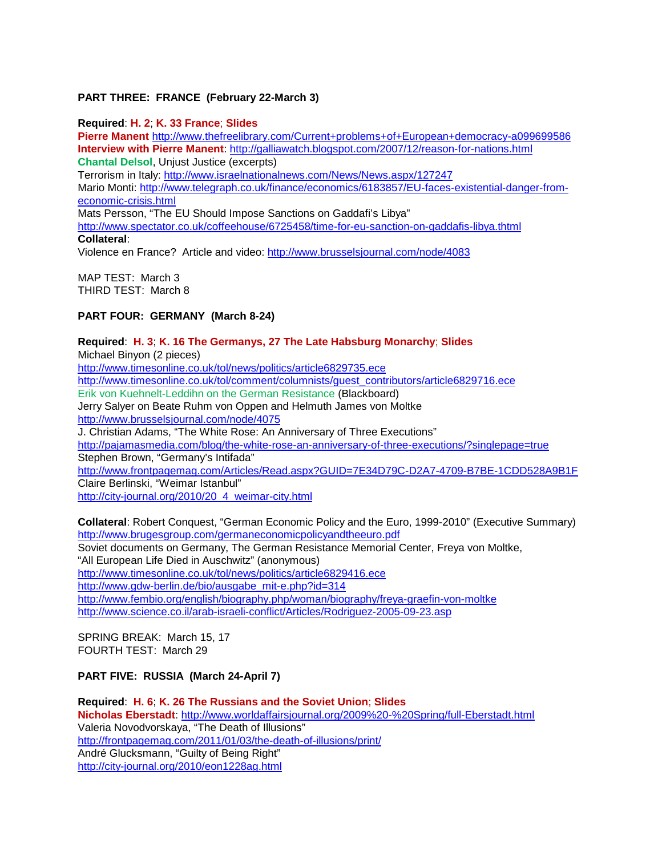# **PART THREE: FRANCE (February 22-March 3)**

**Required**: **H. 2**; **K. 33 France**; **Slides Pierre Manent** <http://www.thefreelibrary.com/Current+problems+of+European+democracy-a099699586> **Interview with Pierre Manent**:<http://galliawatch.blogspot.com/2007/12/reason-for-nations.html> **Chantal Delsol**, Unjust Justice (excerpts) Terrorism in Italy:<http://www.israelnationalnews.com/News/News.aspx/127247> Mario Monti: [http://www.telegraph.co.uk/finance/economics/6183857/EU-faces-existential-danger-from](http://www.telegraph.co.uk/finance/economics/6183857/EU-faces-existential-danger-from-economic-crisis.html)[economic-crisis.html](http://www.telegraph.co.uk/finance/economics/6183857/EU-faces-existential-danger-from-economic-crisis.html) Mats Persson, "The EU Should Impose Sanctions on Gaddafi's Libya" <http://www.spectator.co.uk/coffeehouse/6725458/time-for-eu-sanction-on-gaddafis-libya.thtml> **Collateral**: Violence en France? Article and video:<http://www.brusselsjournal.com/node/4083>

MAP TEST: March 3 THIRD TEST: March 8

# **PART FOUR: GERMANY (March 8-24)**

# **Required**: **H. 3**; **K. 16 The Germanys, 27 The Late Habsburg Monarchy**; **Slides** Michael Binyon (2 pieces) <http://www.timesonline.co.uk/tol/news/politics/article6829735.ece> [http://www.timesonline.co.uk/tol/comment/columnists/guest\\_contributors/article6829716.ece](http://www.timesonline.co.uk/tol/comment/columnists/guest_contributors/article6829716.ece) Erik von Kuehnelt-Leddihn on the German Resistance (Blackboard) Jerry Salyer on Beate Ruhm von Oppen and Helmuth James von Moltke <http://www.brusselsjournal.com/node/4075> J. Christian Adams, "The White Rose: An Anniversary of Three Executions" <http://pajamasmedia.com/blog/the-white-rose-an-anniversary-of-three-executions/?singlepage=true> Stephen Brown, "Germany's Intifada" <http://www.frontpagemag.com/Articles/Read.aspx?GUID=7E34D79C-D2A7-4709-B7BE-1CDD528A9B1F> Claire Berlinski, "Weimar Istanbul" [http://city-journal.org/2010/20\\_4\\_weimar-city.html](http://city-journal.org/2010/20_4_weimar-city.html)

**Collateral**: Robert Conquest, "German Economic Policy and the Euro, 1999-2010" (Executive Summary) <http://www.brugesgroup.com/germaneconomicpolicyandtheeuro.pdf> Soviet documents on Germany, The German Resistance Memorial Center, Freya von Moltke, "All European Life Died in Auschwitz" (anonymous) <http://www.timesonline.co.uk/tol/news/politics/article6829416.ece> [http://www.gdw-berlin.de/bio/ausgabe\\_mit-e.php?id=314](http://www.gdw-berlin.de/bio/ausgabe_mit-e.php?id=314) <http://www.fembio.org/english/biography.php/woman/biography/freya-graefin-von-moltke> <http://www.science.co.il/arab-israeli-conflict/Articles/Rodriguez-2005-09-23.asp>

SPRING BREAK: March 15, 17 FOURTH TEST: March 29

# **PART FIVE: RUSSIA (March 24-April 7)**

**Required**: **H. 6**; **K. 26 The Russians and the Soviet Union**; **Slides Nicholas Eberstadt**:<http://www.worldaffairsjournal.org/2009%20-%20Spring/full-Eberstadt.html> Valeria Novodvorskaya, "The Death of Illusions" <http://frontpagemag.com/2011/01/03/the-death-of-illusions/print/> André Glucksmann, "Guilty of Being Right" <http://city-journal.org/2010/eon1228ag.html>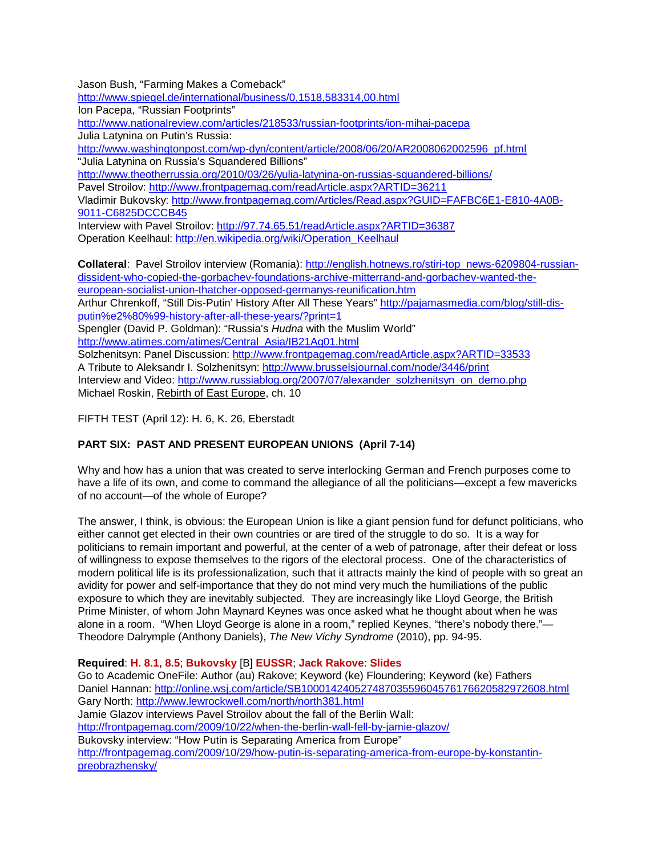Jason Bush, "Farming Makes a Comeback"

<http://www.spiegel.de/international/business/0,1518,583314,00.html>

Ion Pacepa, "Russian Footprints"

<http://www.nationalreview.com/articles/218533/russian-footprints/ion-mihai-pacepa>

Julia Latynina on Putin's Russia:

[http://www.washingtonpost.com/wp-dyn/content/article/2008/06/20/AR2008062002596\\_pf.html](http://www.washingtonpost.com/wp-dyn/content/article/2008/06/20/AR2008062002596_pf.html) "Julia Latynina on Russia's Squandered Billions"

<http://www.theotherrussia.org/2010/03/26/yulia-latynina-on-russias-squandered-billions/>

Pavel Stroilov:<http://www.frontpagemag.com/readArticle.aspx?ARTID=36211>

Vladimir Bukovsky: [http://www.frontpagemag.com/Articles/Read.aspx?GUID=FAFBC6E1-E810-4A0B-](http://www.frontpagemag.com/Articles/Read.aspx?GUID=FAFBC6E1-E810-4A0B-9011-C6825DCCCB45)[9011-C6825DCCCB45](http://www.frontpagemag.com/Articles/Read.aspx?GUID=FAFBC6E1-E810-4A0B-9011-C6825DCCCB45)

Interview with Pavel Stroilov:<http://97.74.65.51/readArticle.aspx?ARTID=36387> Operation Keelhaul: [http://en.wikipedia.org/wiki/Operation\\_Keelhaul](http://en.wikipedia.org/wiki/Operation_Keelhaul)

**Collateral**: Pavel Stroilov interview (Romania): [http://english.hotnews.ro/stiri-top\\_news-6209804-russian](http://english.hotnews.ro/stiri-top_news-6209804-russian-dissident-who-copied-the-gorbachev-foundations-archive-mitterrand-and-gorbachev-wanted-the-european-socialist-union-thatcher-opposed-germanys-reunification.htm)[dissident-who-copied-the-gorbachev-foundations-archive-mitterrand-and-gorbachev-wanted-the](http://english.hotnews.ro/stiri-top_news-6209804-russian-dissident-who-copied-the-gorbachev-foundations-archive-mitterrand-and-gorbachev-wanted-the-european-socialist-union-thatcher-opposed-germanys-reunification.htm)[european-socialist-union-thatcher-opposed-germanys-reunification.htm](http://english.hotnews.ro/stiri-top_news-6209804-russian-dissident-who-copied-the-gorbachev-foundations-archive-mitterrand-and-gorbachev-wanted-the-european-socialist-union-thatcher-opposed-germanys-reunification.htm) Arthur Chrenkoff, "Still Dis-Putin' History After All These Years" [http://pajamasmedia.com/blog/still-dis](http://pajamasmedia.com/blog/still-dis-putin%e2%80%99-history-after-all-these-years/?print=1)[putin%e2%80%99-history-after-all-these-years/?print=1](http://pajamasmedia.com/blog/still-dis-putin%e2%80%99-history-after-all-these-years/?print=1) Spengler (David P. Goldman): "Russia's *Hudna* with the Muslim World" [http://www.atimes.com/atimes/Central\\_Asia/IB21Ag01.html](http://www.atimes.com/atimes/Central_Asia/IB21Ag01.html) Solzhenitsyn: Panel Discussion:<http://www.frontpagemag.com/readArticle.aspx?ARTID=33533> A Tribute to Aleksandr I. Solzhenitsyn:<http://www.brusselsjournal.com/node/3446/print> Interview and Video: [http://www.russiablog.org/2007/07/alexander\\_solzhenitsyn\\_on\\_demo.php](http://www.russiablog.org/2007/07/alexander_solzhenitsyn_on_demo.php) Michael Roskin, Rebirth of East Europe, ch. 10

FIFTH TEST (April 12): H. 6, K. 26, Eberstadt

# **PART SIX: PAST AND PRESENT EUROPEAN UNIONS (April 7-14)**

Why and how has a union that was created to serve interlocking German and French purposes come to have a life of its own, and come to command the allegiance of all the politicians—except a few mavericks of no account—of the whole of Europe?

The answer, I think, is obvious: the European Union is like a giant pension fund for defunct politicians, who either cannot get elected in their own countries or are tired of the struggle to do so. It is a way for politicians to remain important and powerful, at the center of a web of patronage, after their defeat or loss of willingness to expose themselves to the rigors of the electoral process. One of the characteristics of modern political life is its professionalization, such that it attracts mainly the kind of people with so great an avidity for power and self-importance that they do not mind very much the humiliations of the public exposure to which they are inevitably subjected. They are increasingly like Lloyd George, the British Prime Minister, of whom John Maynard Keynes was once asked what he thought about when he was alone in a room. "When Lloyd George is alone in a room," replied Keynes, "there's nobody there."-Theodore Dalrymple (Anthony Daniels), *The New Vichy Syndrome* (2010), pp. 94-95.

**Required**: **H. 8.1, 8.5**; **Bukovsky** [B] **EUSSR**; **Jack Rakove**: **Slides**

Go to Academic OneFile: Author (au) Rakove; Keyword (ke) Floundering; Keyword (ke) Fathers Daniel Hannan:<http://online.wsj.com/article/SB10001424052748703559604576176620582972608.html> Gary North:<http://www.lewrockwell.com/north/north381.html> Jamie Glazov interviews Pavel Stroilov about the fall of the Berlin Wall: <http://frontpagemag.com/2009/10/22/when-the-berlin-wall-fell-by-jamie-glazov/> Bukovsky interview: "How Putin is Separating America from Europe" [http://frontpagemag.com/2009/10/29/how-putin-is-separating-america-from-europe-by-konstantin](http://frontpagemag.com/2009/10/29/how-putin-is-separating-america-from-europe-by-konstantin-preobrazhensky/)[preobrazhensky/](http://frontpagemag.com/2009/10/29/how-putin-is-separating-america-from-europe-by-konstantin-preobrazhensky/)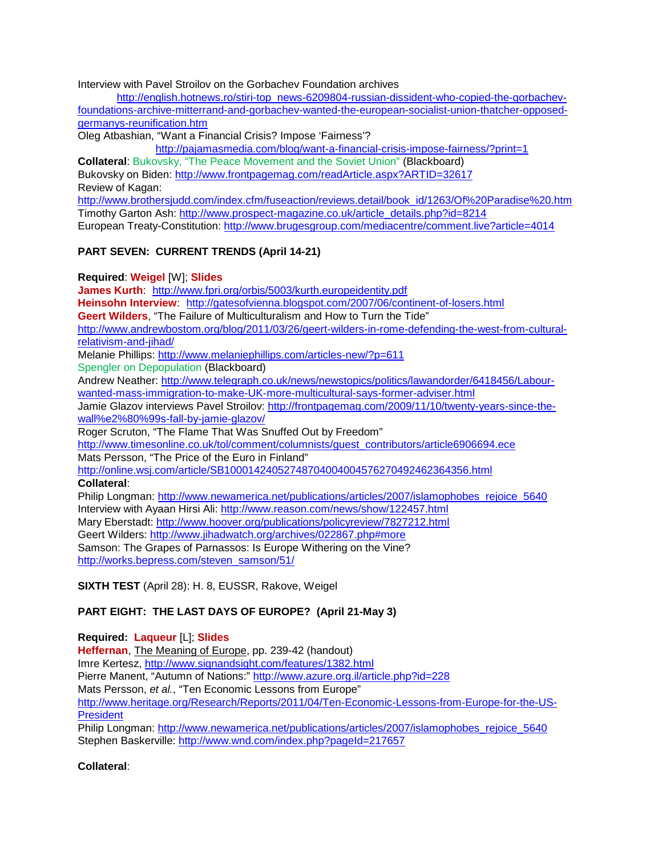Interview with Pavel Stroilov on the Gorbachev Foundation archives

[http://english.hotnews.ro/stiri-top\\_news-6209804-russian-dissident-who-copied-the-gorbachev](http://english.hotnews.ro/stiri-top_news-6209804-russian-dissident-who-copied-the-gorbachev-%20foundations-archive-mitterrand-and-gorbachev-wanted-the-european-socialist-union-thatcher-opposed-germanys-reunification.htm)[foundations-archive-mitterrand-and-gorbachev-wanted-the-european-socialist-union-thatcher-opposed](http://english.hotnews.ro/stiri-top_news-6209804-russian-dissident-who-copied-the-gorbachev-%20foundations-archive-mitterrand-and-gorbachev-wanted-the-european-socialist-union-thatcher-opposed-germanys-reunification.htm)[germanys-reunification.htm](http://english.hotnews.ro/stiri-top_news-6209804-russian-dissident-who-copied-the-gorbachev-%20foundations-archive-mitterrand-and-gorbachev-wanted-the-european-socialist-union-thatcher-opposed-germanys-reunification.htm)

Oleg Atbashian, "Want a Financial Crisis? Impose 'Fairness'?

<http://pajamasmedia.com/blog/want-a-financial-crisis-impose-fairness/?print=1>

**Collateral**: Bukovsky, "The Peace Movement and the Soviet Union" (Blackboard) Bukovsky on Biden:<http://www.frontpagemag.com/readArticle.aspx?ARTID=32617>

Review of Kagan:

[http://www.brothersjudd.com/index.cfm/fuseaction/reviews.detail/book\\_id/1263/Of%20Paradise%20.htm](http://www.brothersjudd.com/index.cfm/fuseaction/reviews.detail/book_id/1263/Of%20Paradise%20.htm) Timothy Garton Ash: [http://www.prospect-magazine.co.uk/article\\_details.php?id=8214](http://www.prospect-magazine.co.uk/article_details.php?id=8214) European Treaty-Constitution:<http://www.brugesgroup.com/mediacentre/comment.live?article=4014>

# **PART SEVEN: CURRENT TRENDS (April 14-21)**

**Required**: **Weigel** [W]; **Slides**

**James Kurth**: <http://www.fpri.org/orbis/5003/kurth.europeidentity.pdf>

Heinsohn Interview: <http://gatesofvienna.blogspot.com/2007/06/continent-of-losers.html>

**Geert Wilders**, "The Failure of Multiculturalism and How to Turn the Tide"

[http://www.andrewbostom.org/blog/2011/03/26/geert-wilders-in-rome-defending-the-west-from-cultural](http://www.andrewbostom.org/blog/2011/03/26/geert-wilders-in-rome-defending-the-west-from-cultural-relativism-and-jihad/)[relativism-and-jihad/](http://www.andrewbostom.org/blog/2011/03/26/geert-wilders-in-rome-defending-the-west-from-cultural-relativism-and-jihad/)

Melanie Phillips:<http://www.melaniephillips.com/articles-new/?p=611>

Spengler on Depopulation (Blackboard)

Andrew Neather: [http://www.telegraph.co.uk/news/newstopics/politics/lawandorder/6418456/Labour](http://www.telegraph.co.uk/news/newstopics/politics/lawandorder/6418456/Labour-wanted-mass-immigration-to-make-UK-more-multicultural-says-former-adviser.html)[wanted-mass-immigration-to-make-UK-more-multicultural-says-former-adviser.html](http://www.telegraph.co.uk/news/newstopics/politics/lawandorder/6418456/Labour-wanted-mass-immigration-to-make-UK-more-multicultural-says-former-adviser.html)

Jamie Glazov interviews Pavel Stroilov: [http://frontpagemag.com/2009/11/10/twenty-years-since-the](http://frontpagemag.com/2009/11/10/twenty-years-since-the-wall%e2%80%99s-fall-by-jamie-glazov/)[wall%e2%80%99s-fall-by-jamie-glazov/](http://frontpagemag.com/2009/11/10/twenty-years-since-the-wall%e2%80%99s-fall-by-jamie-glazov/)

Roger Scruton, "The Flame That Was Snuffed Out by Freedom"

[http://www.timesonline.co.uk/tol/comment/columnists/guest\\_contributors/article6906694.ece](http://www.timesonline.co.uk/tol/comment/columnists/guest_contributors/article6906694.ece)

Mats Persson, "The Price of the Euro in Finland"

<http://online.wsj.com/article/SB10001424052748704004004576270492462364356.html>

**Collateral**:

Philip Longman: [http://www.newamerica.net/publications/articles/2007/islamophobes\\_rejoice\\_5640](http://www.newamerica.net/publications/articles/2007/islamophobes_rejoice_5640) Interview with Ayaan Hirsi Ali:<http://www.reason.com/news/show/122457.html> Mary Eberstadt:<http://www.hoover.org/publications/policyreview/7827212.html> Geert Wilders:<http://www.jihadwatch.org/archives/022867.php#more> Samson: The Grapes of Parnassos: Is Europe Withering on the Vine? [http://works.bepress.com/steven\\_samson/51/](http://works.bepress.com/steven_samson/51/)

**SIXTH TEST** (April 28): H. 8, EUSSR, Rakove, Weigel

# **PART EIGHT: THE LAST DAYS OF EUROPE? (April 21-May 3)**

**Required: Laqueur** [L]; **Slides Heffernan**, The Meaning of Europe, pp. 239-42 (handout) Imre Kertesz, <http://www.signandsight.com/features/1382.html> Pierre Manent, "Autumn of Nations:"<http://www.azure.org.il/article.php?id=228> Mats Persson, *et al.*, "Ten Economic Lessons from Europe" [http://www.heritage.org/Research/Reports/2011/04/Ten-Economic-Lessons-from-Europe-for-the-US-](http://www.heritage.org/Research/Reports/2011/04/Ten-Economic-Lessons-from-Europe-for-the-US-President)**[President](http://www.heritage.org/Research/Reports/2011/04/Ten-Economic-Lessons-from-Europe-for-the-US-President)** 

Philip Longman: [http://www.newamerica.net/publications/articles/2007/islamophobes\\_rejoice\\_5640](http://www.newamerica.net/publications/articles/2007/islamophobes_rejoice_5640) Stephen Baskerville:<http://www.wnd.com/index.php?pageId=217657>

**Collateral**: